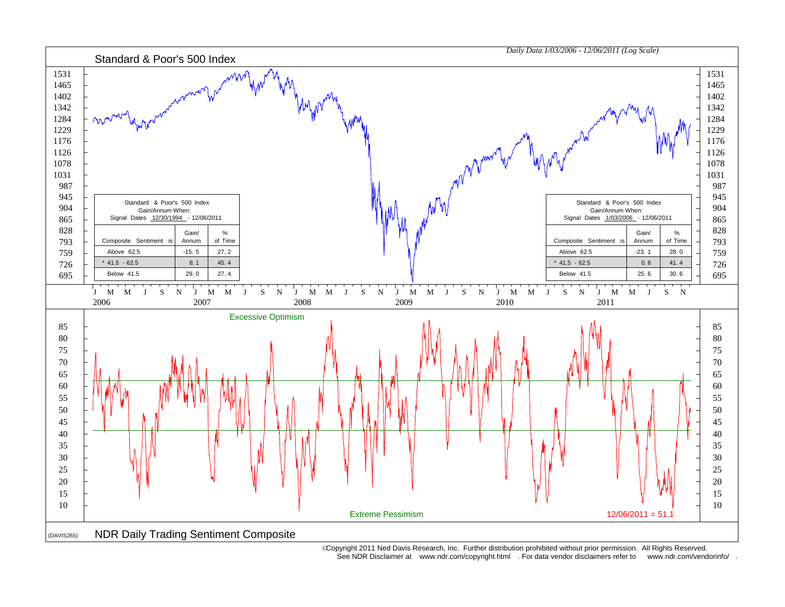

 Copyright 2011 Ned Davis Research, Inc. Further distribution prohibited without prior permission. All Rights Reserved. See NDR Disclaimer at www.ndr.com/copyright.html . For data vendor disclaimers refer to www.ndr.com/vendorinfo/ .